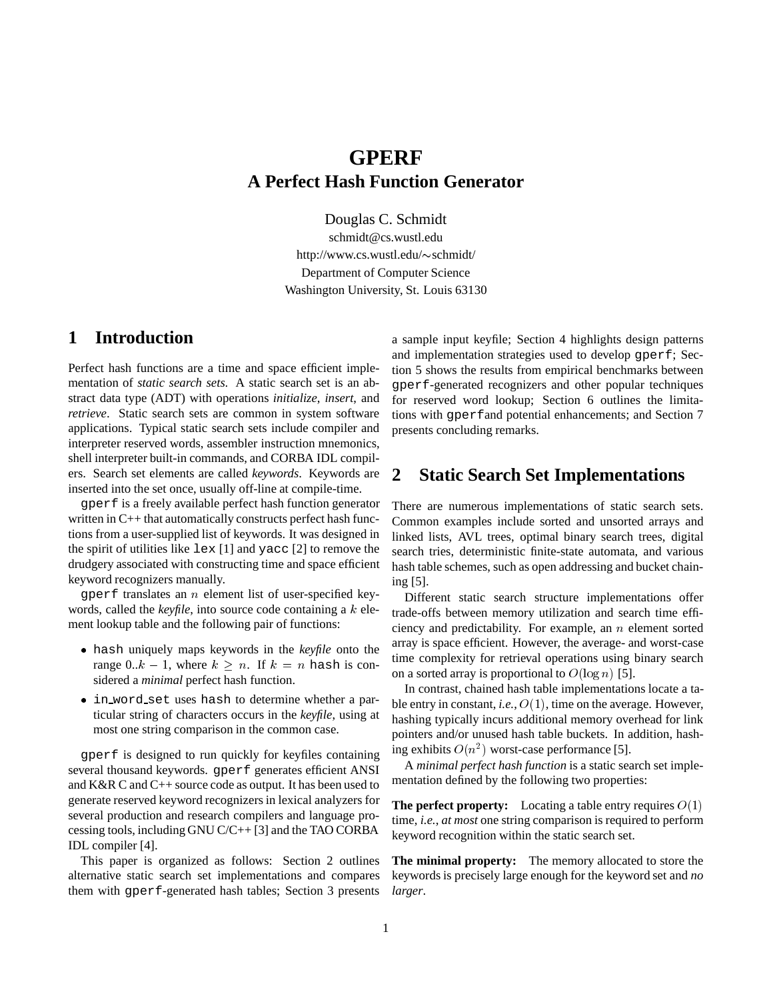# **GPERF A Perfect Hash Function Generator**

Douglas C. Schmidt

schmidt@cs.wustl.edu http://www.cs.wustl.edu/~schmidt/ Department of Computer Science Washington University, St. Louis 63130

# **1 Introduction**

Perfect hash functions are a time and space efficient implementation of *static search sets*. A static search set is an abstract data type (ADT) with operations *initialize*, *insert*, and *retrieve*. Static search sets are common in system software applications. Typical static search sets include compiler and interpreter reserved words, assembler instruction mnemonics, shell interpreter built-in commands, and CORBA IDL compilers. Search set elements are called *keywords*. Keywords are inserted into the set once, usually off-line at compile-time.

gperf is a freely available perfect hash function generator written in C++ that automatically constructs perfect hash functions from a user-supplied list of keywords. It was designed in the spirit of utilities like lex [1] and yacc [2] to remove the drudgery associated with constructing time and space efficient keyword recognizers manually.

 $q$  perf translates an *n* element list of user-specified keywords, called the *keyfile*, into source code containing a k element lookup table and the following pair of functions:

- hash uniquely maps keywords in the *keyfile* onto the range 0..k – 1, where  $k \geq n$ . If  $k = n$  hash is considered a *minimal* perfect hash function.
- in word set uses hash to determine whether a particular string of characters occurs in the *keyfile*, using at most one string comparison in the common case.

gperf is designed to run quickly for keyfiles containing several thousand keywords. gperf generates efficient ANSI and K&R C and C++ source code as output. It has been used to generate reserved keyword recognizers in lexical analyzers for several production and research compilers and language processing tools, including GNU C/C++ [3] and the TAO CORBA IDL compiler [4].

This paper is organized as follows: Section 2 outlines alternative static search set implementations and compares them with gperf-generated hash tables; Section 3 presents a sample input keyfile; Section 4 highlights design patterns and implementation strategies used to develop gperf; Section 5 shows the results from empirical benchmarks between gperf-generated recognizers and other popular techniques for reserved word lookup; Section 6 outlines the limitations with gperfand potential enhancements; and Section 7 presents concluding remarks.

## **2 Static Search Set Implementations**

There are numerous implementations of static search sets. Common examples include sorted and unsorted arrays and linked lists, AVL trees, optimal binary search trees, digital search tries, deterministic finite-state automata, and various hash table schemes, such as open addressing and bucket chaining [5].

Different static search structure implementations offer trade-offs between memory utilization and search time efficiency and predictability. For example, an  $n$  element sorted array is space efficient. However, the average- and worst-case time complexity for retrieval operations using binary search on a sorted array is proportional to  $O(\log n)$  [5].

In contrast, chained hash table implementations locate a table entry in constant, *i.e.*, O(1), time on the average. However, hashing typically incurs additional memory overhead for link pointers and/or unused hash table buckets. In addition, hashing exhibits  $O(n^2)$  worst-case performance [5].

A *minimal perfect hash function* is a static search set implementation defined by the following two properties:

**The perfect property:** Locating a table entry requires  $O(1)$ time, *i.e.*, *at most* one string comparison is required to perform keyword recognition within the static search set.

**The minimal property:** The memory allocated to store the keywords is precisely large enough for the keyword set and *no larger*.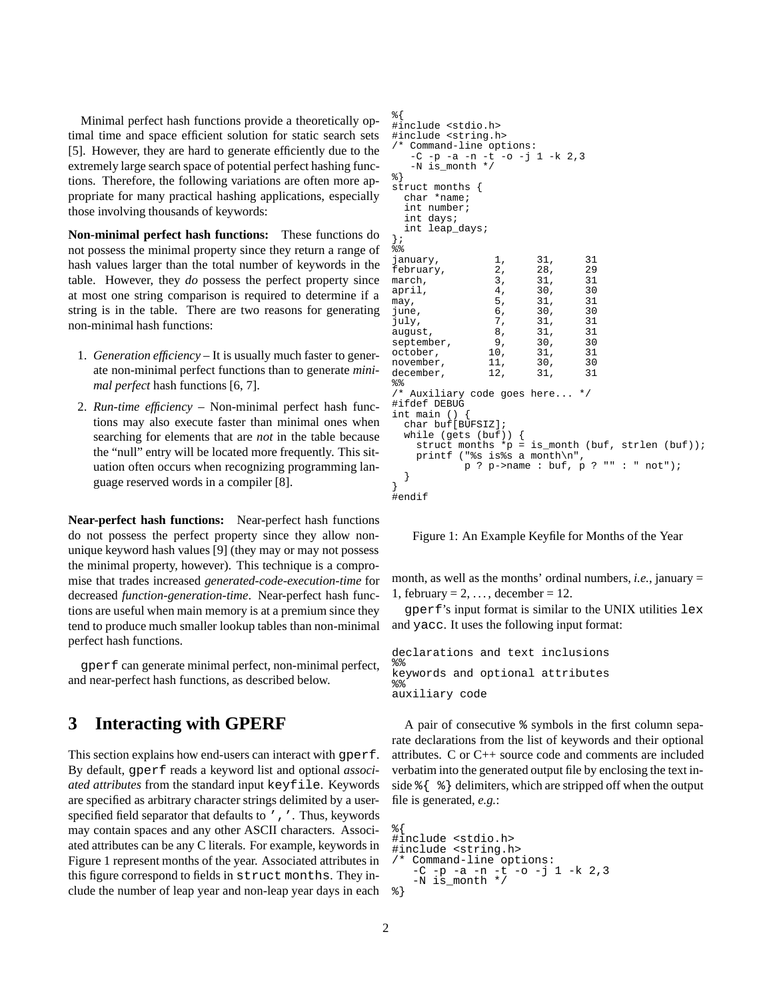Minimal perfect hash functions provide a theoretically optimal time and space efficient solution for static search sets [5]. However, they are hard to generate efficiently due to the extremely large search space of potential perfect hashing functions. Therefore, the following variations are often more appropriate for many practical hashing applications, especially those involving thousands of keywords:

**Non-minimal perfect hash functions:** These functions do not possess the minimal property since they return a range of hash values larger than the total number of keywords in the table. However, they *do* possess the perfect property since at most one string comparison is required to determine if a string is in the table. There are two reasons for generating non-minimal hash functions:

- 1. *Generation efficiency* It is usually much faster to generate non-minimal perfect functions than to generate *minimal perfect* hash functions [6, 7].
- 2. *Run-time efficiency* Non-minimal perfect hash functions may also execute faster than minimal ones when searching for elements that are *not* in the table because the "null" entry will be located more frequently. This situation often occurs when recognizing programming language reserved words in a compiler [8].

**Near-perfect hash functions:** Near-perfect hash functions do not possess the perfect property since they allow nonunique keyword hash values [9] (they may or may not possess the minimal property, however). This technique is a compromise that trades increased *generated-code-execution-time* for decreased *function-generation-time*. Near-perfect hash functions are useful when main memory is at a premium since they tend to produce much smaller lookup tables than non-minimal perfect hash functions.

gperf can generate minimal perfect, non-minimal perfect, and near-perfect hash functions, as described below.

## **3 Interacting with GPERF**

This section explains how end-users can interact with gperf. By default, gperf reads a keyword list and optional *associated attributes* from the standard input keyfile. Keywords are specified as arbitrary character strings delimited by a userspecified field separator that defaults to ', '. Thus, keywords may contain spaces and any other ASCII characters. Associated attributes can be any C literals. For example, keywords in Figure 1 represent months of the year. Associated attributes in this figure correspond to fields in struct months. They include the number of leap year and non-leap year days in each

```
%{
#include <stdio.h>
#include <string.h>
/* Command-line options:
   -C -p -a -n -t -o -j 1 -k 2,3
   -N is_month */
%}
struct months {
  char *name;
  int number;
  int days;
  int leap_days;
};
\frac{1}{6}january, 1, 31, 31
february, 2, 28, 29<br>march, 2, 28, 29<br>march, 3, 31, 31
march, 3, 31, 31<br>april, 4, 30, 30
april, \begin{array}{ccc} 4, & 30, & 30 \\ \text{max}, & 5, & 31, & 31 \end{array}may, 5, 31, 31
june, 6, 30, 30<br>
iuly 7, 31, 31
july, 7, 31, 31
august, 8, 31, 31<br>september, 9, 30, 30
september, 9, 30, 30<br>october, 10, 31, 31
october, 10, 31, 31<br>november, 11, 30, 30
november, 11, 30, 30<br>december, 12, 31, 31
december.
%/* Auxiliary code goes here... */
#ifdef DEBUG
int main ()char buf[BUFSIZ];
  while (gets (buf)) {<br>struct months *_{p} =
                          is_month (buf, strlen (buf));
    printf ("%s is%s a month\n",
             p ? p->name : buf, p ? "" : " not");
  }
}
#endif
```
Figure 1: An Example Keyfile for Months of the Year

month, as well as the months' ordinal numbers, *i.e.*, january = 1, february =  $2, \ldots$ , december = 12.

gperf's input format is similar to the UNIX utilities lex and yacc. It uses the following input format:

```
declarations and text inclusions
%keywords and optional attributes
% > 2auxiliary code
```
A pair of consecutive % symbols in the first column separate declarations from the list of keywords and their optional attributes. C or C++ source code and comments are included verbatim into the generated output file by enclosing the text inside  $\{\ \ \ \ \ \ \ \ \ \ \$  delimiters, which are stripped off when the output file is generated, *e.g.*:

```
%{
#include <stdio.h>
#include <string.h>
  Command-line options:
   -C -p -a -n -t -o -j 1 -k 2,3
   -N is_month */%}
```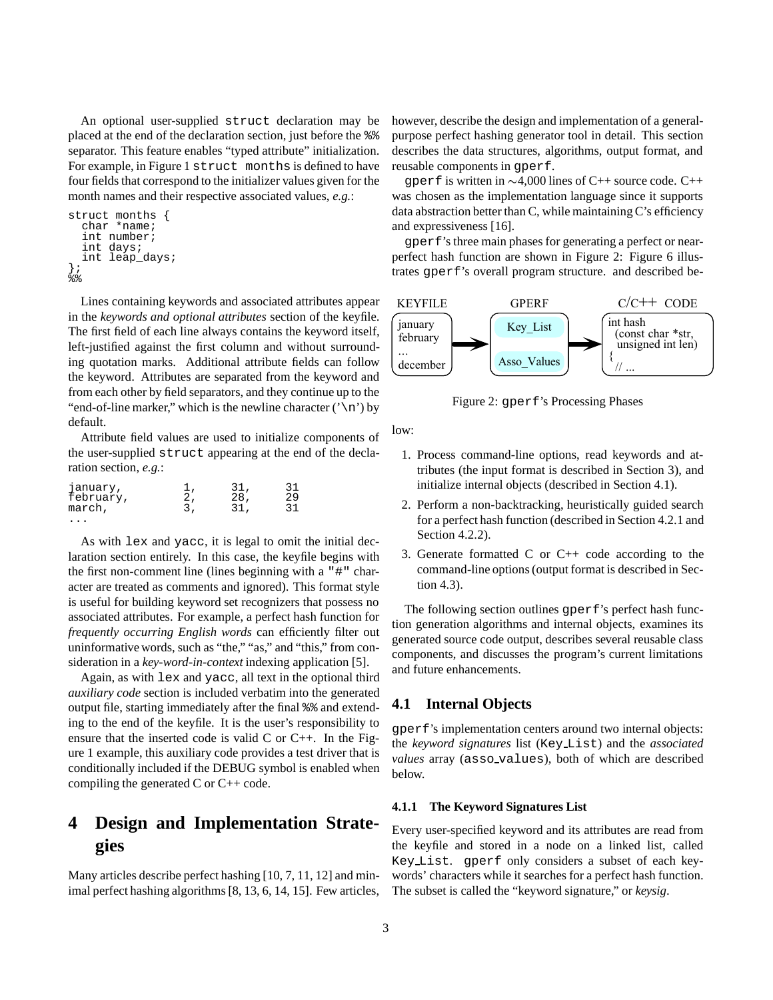An optional user-supplied struct declaration may be placed at the end of the declaration section, just before the %% separator. This feature enables "typed attribute" initialization. For example, in Figure 1 struct months is defined to have four fields that correspond to the initializer values given for the month names and their respective associated values, *e.g.*:

```
struct months {
  char *name;
  int number;
  int days;
  int leap_days;
};
န့်နွ
```
Lines containing keywords and associated attributes appear in the *keywords and optional attributes* section of the keyfile. The first field of each line always contains the keyword itself, left-justified against the first column and without surrounding quotation marks. Additional attribute fields can follow the keyword. Attributes are separated from the keyword and from each other by field separators, and they continue up to the "end-of-line marker," which is the newline character  $(\nabla \nabla)$  by default.

Attribute field values are used to initialize components of the user-supplied struct appearing at the end of the declaration section, *e.g.*:

| january,<br>february, | 31,<br>28, | 31<br>29 |  |
|-----------------------|------------|----------|--|
| march,                | 31.        | 31       |  |
|                       |            |          |  |

As with lex and yacc, it is legal to omit the initial declaration section entirely. In this case, the keyfile begins with the first non-comment line (lines beginning with a "#" character are treated as comments and ignored). This format style is useful for building keyword set recognizers that possess no associated attributes. For example, a perfect hash function for *frequently occurring English words* can efficiently filter out uninformative words, such as "the," "as," and "this," from consideration in a *key-word-in-context* indexing application [5].

Again, as with lex and yacc, all text in the optional third *auxiliary code* section is included verbatim into the generated output file, starting immediately after the final %% and extending to the end of the keyfile. It is the user's responsibility to ensure that the inserted code is valid C or C++. In the Figure 1 example, this auxiliary code provides a test driver that is conditionally included if the DEBUG symbol is enabled when compiling the generated C or C++ code.

# **4 Design and Implementation Strategies**

Many articles describe perfect hashing [10, 7, 11, 12] and minimal perfect hashing algorithms [8, 13, 6, 14, 15]. Few articles,

however, describe the design and implementation of a generalpurpose perfect hashing generator tool in detail. This section describes the data structures, algorithms, output format, and reusable components in gperf.

gperf is written in  $\sim$ 4,000 lines of C++ source code. C++ was chosen as the implementation language since it supports data abstraction better than C, while maintaining C's efficiency and expressiveness [16].

gperf's three main phases for generating a perfect or nearperfect hash function are shown in Figure 2: Figure 6 illustrates gperf's overall program structure. and described be-



Figure 2: gperf's Processing Phases

low:

- 1. Process command-line options, read keywords and attributes (the input format is described in Section 3), and initialize internal objects (described in Section 4.1).
- 2. Perform a non-backtracking, heuristically guided search for a perfect hash function (described in Section 4.2.1 and Section 4.2.2).
- 3. Generate formatted  $C$  or  $C_{++}$  code according to the command-line options (output format is described in Section 4.3).

The following section outlines qperf's perfect hash function generation algorithms and internal objects, examines its generated source code output, describes several reusable class components, and discusses the program's current limitations and future enhancements.

## **4.1 Internal Objects**

gperf's implementation centers around two internal objects: the *keyword signatures* list (Key List) and the *associated values* array (asso values), both of which are described below.

#### **4.1.1 The Keyword Signatures List**

Every user-specified keyword and its attributes are read from the keyfile and stored in a node on a linked list, called Key List. gperf only considers a subset of each keywords' characters while it searches for a perfect hash function. The subset is called the "keyword signature," or *keysig*.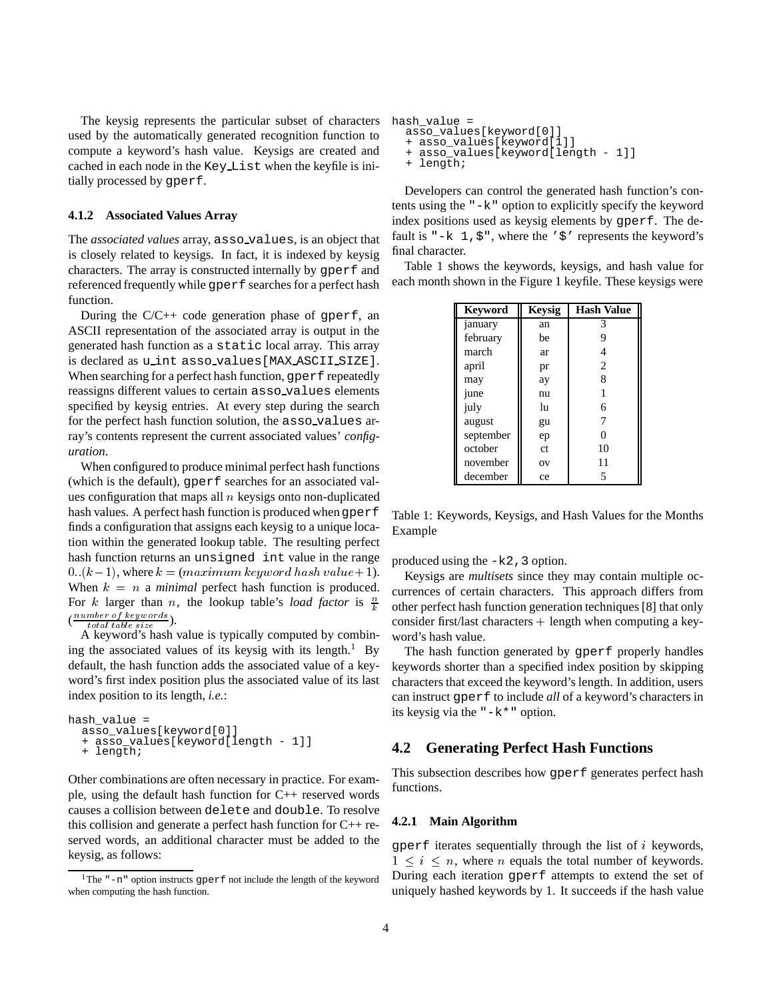The keysig represents the particular subset of characters used by the automatically generated recognition function to compute a keyword's hash value. Keysigs are created and cached in each node in the Key List when the keyfile is initially processed by gperf.

#### **4.1.2 Associated Values Array**

The *associated values* array, asso values, is an object that is closely related to keysigs. In fact, it is indexed by keysig characters. The array is constructed internally by gperf and referenced frequently while gperf searches for a perfect hash function.

During the  $C/C++$  code generation phase of gperf, an ASCII representation of the associated array is output in the generated hash function as a static local array. This array is declared as u int asso values[MAX ASCII SIZE]. When searching for a perfect hash function, gperf repeatedly reassigns different values to certain asso values elements specified by keysig entries. At every step during the search for the perfect hash function solution, the asso values array's contents represent the current associated values' *configuration*.

When configured to produce minimal perfect hash functions (which is the default), gperf searches for an associated values configuration that maps all  $n$  keysigs onto non-duplicated hash values. A perfect hash function is produced when gperf finds a configuration that assigns each keysig to a unique location within the generated lookup table. The resulting perfect hash function returns an unsigned int value in the range 0.  $(k-1)$ , where  $k = (maximum\ keyword\ hash\ value+1)$ . When  $k = n$  a *minimal* perfect hash function is produced. For k larger than n, the lookup table's *load factor* is  $\frac{n}{k}$  $(\frac{number\ of\ keywords}{total\ table\ size}).$ 

A keyword's hash value is typically computed by combining the associated values of its keysig with its length. $1$  By default, the hash function adds the associated value of a keyword's first index position plus the associated value of its last index position to its length, *i.e.*:

```
hash value =
  asso_values[keyword[0]]
  + asso_values[keyword[length - 1]]
  + length;
```
Other combinations are often necessary in practice. For example, using the default hash function for C++ reserved words causes a collision between delete and double. To resolve this collision and generate a perfect hash function for C++ reserved words, an additional character must be added to the keysig, as follows:

```
hash value =asso_values[keyword[0]]
  + asso_values[keyword[1]]
    asso_values[keyword[length - 1]]
  + length;
```
Developers can control the generated hash function's contents using the "-k" option to explicitly specify the keyword index positions used as keysig elements by gperf. The default is "-k  $1, \xi$ ", where the ' $\xi$ ' represents the keyword's final character.

Table 1 shows the keywords, keysigs, and hash value for each month shown in the Figure 1 keyfile. These keysigs were

| <b>Keyword</b> | <b>Keysig</b> | <b>Hash Value</b> |
|----------------|---------------|-------------------|
| january        | an            | 3                 |
| february       | be            | 9                 |
| march          | ar            |                   |
| april          | pr            | $\overline{c}$    |
| may            | ay            | 8                 |
| june           | nu            | 1                 |
| july           | lu            | 6                 |
| august         | gu            |                   |
| september      | ep            | 0                 |
| october        | ct            | 10                |
| november       | OV            | 11                |
| december       | ce            | 5                 |

Table 1: Keywords, Keysigs, and Hash Values for the Months Example

produced using the  $-k2$ , 3 option.

 $\frac{\pi}{k}$  other perfect hash function generation techniques [8] that only Keysigs are *multisets* since they may contain multiple occurrences of certain characters. This approach differs from consider first/last characters  $+$  length when computing a keyword's hash value.

The hash function generated by gperf properly handles keywords shorter than a specified index position by skipping characters that exceed the keyword's length. In addition, users can instruct gperf to include *all* of a keyword's characters in its keysig via the "-k\*" option.

### **4.2 Generating Perfect Hash Functions**

This subsection describes how gperf generates perfect hash functions.

#### **4.2.1 Main Algorithm**

gperf iterates sequentially through the list of  $i$  keywords,  $1 \leq i \leq n$ , where *n* equals the total number of keywords. During each iteration gperf attempts to extend the set of uniquely hashed keywords by 1. It succeeds if the hash value

<sup>&</sup>lt;sup>1</sup>The  $" -n"$  option instructs gperf not include the length of the keyword when computing the hash function.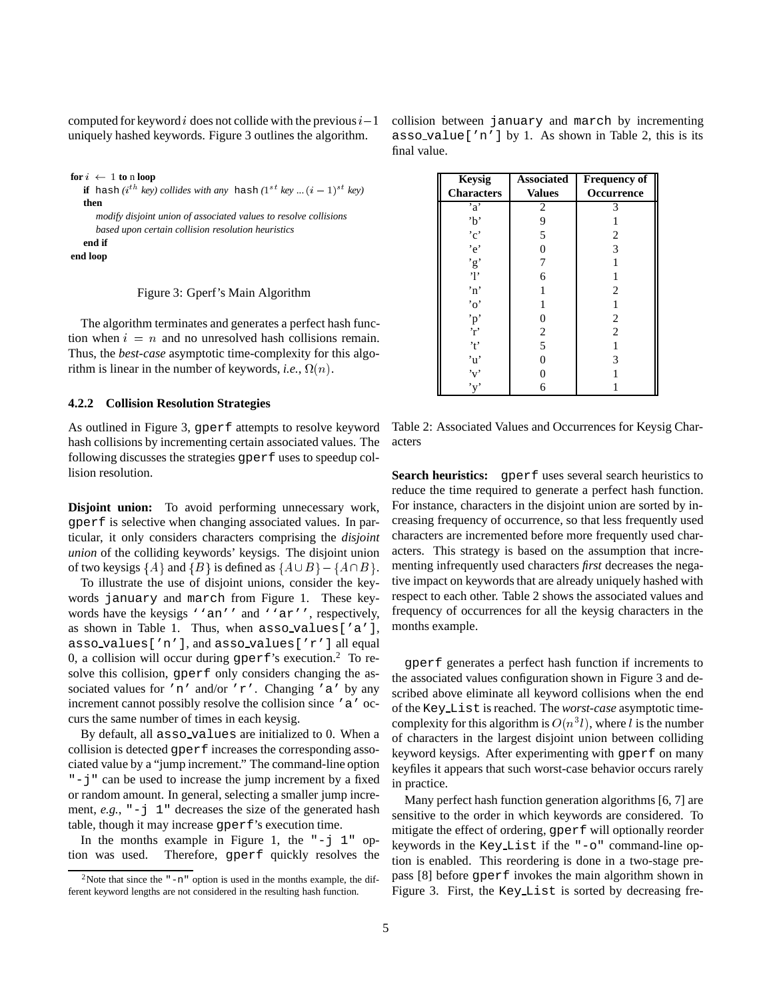computed for keyword i does not collide with the previous  $i-1$ uniquely hashed keywords. Figure 3 outlines the algorithm.

```
for i \leftarrow 1 to n loop
   if hash (i^{th} key) collides with any hash (1^{st} key ... (i-1)^{st} key)
   then
      modify disjoint union of associated values to resolve collisions
      based upon certain collision resolution heuristics
   end if
end loop
```
Figure 3: Gperf's Main Algorithm

The algorithm terminates and generates a perfect hash function when  $i = n$  and no unresolved hash collisions remain. Thus, the *best-case* asymptotic time-complexity for this algorithm is linear in the number of keywords, *i.e.*,  $\Omega(n)$ .

#### **4.2.2 Collision Resolution Strategies**

As outlined in Figure 3, gperf attempts to resolve keyword hash collisions by incrementing certain associated values. The following discusses the strategies gperf uses to speedup collision resolution.

**Disjoint union:** To avoid performing unnecessary work, gperf is selective when changing associated values. In particular, it only considers characters comprising the *disjoint union* of the colliding keywords' keysigs. The disjoint union of two keysigs  $\{A\}$  and  $\{B\}$  is defined as  $\{A\cup B\}$  –  $\{A\cap B\}$ .

To illustrate the use of disjoint unions, consider the keywords january and march from Figure 1. These keywords have the keysigs ''an'' and ''ar'', respectively, as shown in Table 1. Thus, when asso values['a'], asso values['n'], and asso values['r'] all equal 0, a collision will occur during  $\text{sperf's execution.}^2$  To resolve this collision, gperf only considers changing the associated values for 'n' and/or 'r'. Changing 'a' by any increment cannot possibly resolve the collision since 'a' occurs the same number of times in each keysig.

By default, all asso values are initialized to 0. When a collision is detected gperf increases the corresponding associated value by a "jump increment." The command-line option "-j" can be used to increase the jump increment by a fixed or random amount. In general, selecting a smaller jump increment,  $e.g.,$   $"-\dagger 1"$  decreases the size of the generated hash table, though it may increase gperf's execution time.

In the months example in Figure 1, the  $"-\text{j}$  1" option was used. Therefore, gperf quickly resolves the

| <b>Keysig</b><br><b>Characters</b> | <b>Associated</b><br><b>Values</b> | <b>Frequency of</b><br>Occurrence |
|------------------------------------|------------------------------------|-----------------------------------|
| a                                  | 2                                  |                                   |
| 'b'                                | 9                                  |                                   |
| $^{\circ}c^{\circ}$                | 5                                  | 2                                 |
| 'e'                                |                                    | 3                                 |
| $\cdot$ g'                         |                                    |                                   |
| 'l'                                | 6                                  |                                   |
| $\cdot_n$                          |                                    | $\mathfrak{D}_{\mathfrak{p}}$     |
| $\alpha$                           |                                    |                                   |
| 'p'                                |                                    | 2                                 |
| 'n,                                | $\overline{c}$                     | $\mathfrak{D}$                    |
| '†'                                | 5                                  |                                   |
| 'u'                                |                                    |                                   |
| 'v'                                |                                    |                                   |

Table 2: Associated Values and Occurrences for Keysig Characters

'y' 6 1

**Search heuristics:** gperf uses several search heuristics to reduce the time required to generate a perfect hash function. For instance, characters in the disjoint union are sorted by increasing frequency of occurrence, so that less frequently used characters are incremented before more frequently used characters. This strategy is based on the assumption that incrementing infrequently used characters *first* decreases the negative impact on keywords that are already uniquely hashed with respect to each other. Table 2 shows the associated values and frequency of occurrences for all the keysig characters in the months example.

gperf generates a perfect hash function if increments to the associated values configuration shown in Figure 3 and described above eliminate all keyword collisions when the end of the Key List is reached. The *worst-case* asymptotic timecomplexity for this algorithm is  $O(n^3l)$ , where l is the number of characters in the largest disjoint union between colliding keyword keysigs. After experimenting with gperf on many keyfiles it appears that such worst-case behavior occurs rarely in practice.

Many perfect hash function generation algorithms [6, 7] are sensitive to the order in which keywords are considered. To mitigate the effect of ordering, gperf will optionally reorder keywords in the Key List if the "-o" command-line option is enabled. This reordering is done in a two-stage prepass [8] before gperf invokes the main algorithm shown in Figure 3. First, the Key List is sorted by decreasing fre-

|              | collision between january and march by incrementing    |  |  |  |  |
|--------------|--------------------------------------------------------|--|--|--|--|
|              | asso_value['n'] by 1. As shown in Table 2, this is its |  |  |  |  |
| final value. |                                                        |  |  |  |  |

<sup>&</sup>lt;sup>2</sup>Note that since the  $" -n"$  option is used in the months example, the different keyword lengths are not considered in the resulting hash function.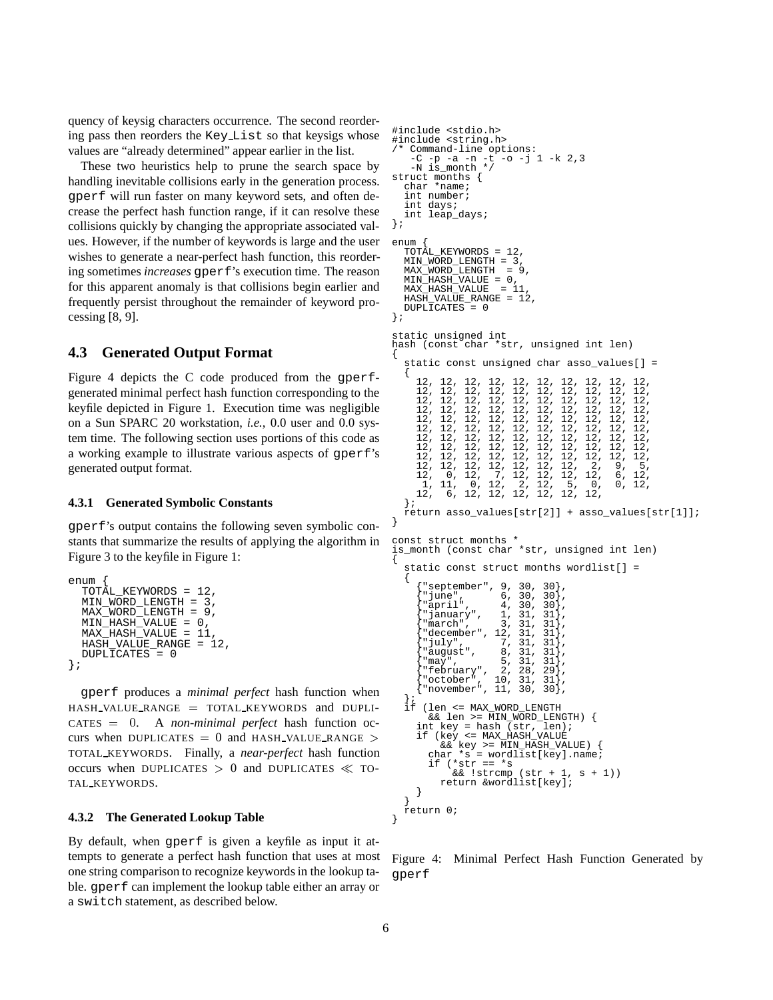quency of keysig characters occurrence. The second reordering pass then reorders the Key List so that keysigs whose values are "already determined" appear earlier in the list.

These two heuristics help to prune the search space by handling inevitable collisions early in the generation process. gperf will run faster on many keyword sets, and often decrease the perfect hash function range, if it can resolve these collisions quickly by changing the appropriate associated values. However, if the number of keywords is large and the user wishes to generate a near-perfect hash function, this reordering sometimes *increases* gperf's execution time. The reason for this apparent anomaly is that collisions begin earlier and frequently persist throughout the remainder of keyword processing [8, 9].

### **4.3 Generated Output Format**

Figure 4 depicts the C code produced from the gperfgenerated minimal perfect hash function corresponding to the keyfile depicted in Figure 1. Execution time was negligible on a Sun SPARC 20 workstation, *i.e.*, 0.0 user and 0.0 system time. The following section uses portions of this code as a working example to illustrate various aspects of gperf's generated output format.

#### **4.3.1 Generated Symbolic Constants**

gperf's output contains the following seven symbolic constants that summarize the results of applying the algorithm in Figure 3 to the keyfile in Figure 1:

```
P_{\text{Pliff}}TOTAL KEYWORDS = 12,
  MIN_WORD_LENGTH = 3,
  MAX_WORD_LENGTH = 9,
  MIN<sub>1</sub> HASH<sub>2</sub> VALUE = 0,
  MAX_HASH_VALUE = 11,
  HASH_VALUE_RANGE = 12,
  DUPLICATES = 0
};
```
gperf produces a *minimal perfect* hash function when HASH VALUE RANGE <sup>=</sup> TOTAL KEYWORDS and DUPLI-CATES <sup>=</sup> <sup>0</sup>. A *non-minimal perfect* hash function occurs when DUPLICATES = 0 and HASH\_VALUE\_RANGE > TOTAL KEYWORDS. Finally, a *near-perfect* hash function occurs when DUPLICATES  $> 0$  and DUPLICATES  $\ll$  TO-TAL KEYWORDS.

#### **4.3.2 The Generated Lookup Table**

By default, when gperf is given a keyfile as input it attempts to generate a perfect hash function that uses at most one string comparison to recognize keywords in the lookup table. gperf can implement the lookup table either an array or a switch statement, as described below.

```
#include <stdio.h>
#include <string.h>
/* Command-line options:<br>-C -p -a -n -t -o -j 1 -k 2,3
     -C -p -a -n -t -o -j 1 -k 2,3
-N is_month */
struct months {
   char *name;
   int number;
   int days;
   int leap_days;
};
enum {
   TOTAL_KEYWORDS = 12,
   MIN_WORD_LENGTH = 3,
MAX_WORD_LENGTH = 9,
   MIN_HASH_VALUE = 0,
MAX_HASH_VALUE = 11,
   HASH_VALUE_RANGE = 12,
  DUPLICATES = 0
};
static unsigned int
hash (const char *str, unsigned int len)
{
   static const unsigned char asso_values[] =
   {
      12, 12, 12, 12, 12, 12, 12, 12, 12, 12,
      12, 12, 12, 12, 12, 12, 12, 12, 12, 12,
12, 12, 12, 12, 12, 12, 12, 12, 12, 12,
      12, 12, 12, 12, 12, 12, 12, 12, 12, 12,
      12, 12, 12, 12, 12, 12, 12, 12, 12, 12,
      12, 12, 12, 12, 12, 12, 12, 12, 12, 12,
      12, 12, 12, 12, 12, 12, 12, 12, 12, 12,
12, 12, 12, 12, 12, 12, 12, 12, 12, 12,
12, 12, 12, 12, 12, 12, 12, 12, 12, 12,
      12, 12, 12, 12, 12, 12, 12, 2, 9, 5,
       2, 0, 12, 7, 12, 12, 12, 12, 6, 12<br>1, 11, 0, 12, 2, 12, 5, 0, 0, 12
      1, 11, 0, 12, 2, 12, 5, 0, 0, 12,
12, 6, 12, 12, 12, 12, 12, 12,
   };
   return asso_values[str[2]] + asso_values[str[1]];
}
const struct months
is_month (const char *str, unsigned int len)
{
   static const struct months wordlist[] =
        "september", 9, 30, 30<br>"june", 6, 30, 30<br>"april", 4, 30, 30
                           {6}, 30, 30}
        "april", 4, 30, 30,<br>"january", 1, 31, 31, 32,
      {"january", 1, 31, 31},
{"march", 3, 31, 31},
        "march", 3, 31, 31<br>"december", 12, 31, 31<br>"july", 7, 31, 31
        "july", 7, 31, 31<br>"august", 8, 31, 31
        "august", 8,<br>"may", 5,<br>"february", 2,
        "may", 5, 31, 31,<br>"february", 2, 28, 29,
        "february", 2, 28,<br>"october", 10, 31,
   \left\{\begin{matrix} \text{"october"} , & 10, 31, 31}, \\ \text{"november"} , & 11, 30, 30, \\ \end{matrix}\right\},if (len <= MAX_WORD_LENGTH
      && len >= MIN_WORD_LENGTH) {
int key = hash (str, len);
if (key <= MAX_HASH_VALUE
            && key >= MIN_HASH_VALUE) {
         char \ast s = wordlist[key].name;
             i^*str == *s
            && !strcmp (str + 1, s + 1))
return &wordlist[key];
      } }
   return 0;
}
```
Figure 4: Minimal Perfect Hash Function Generated by gperf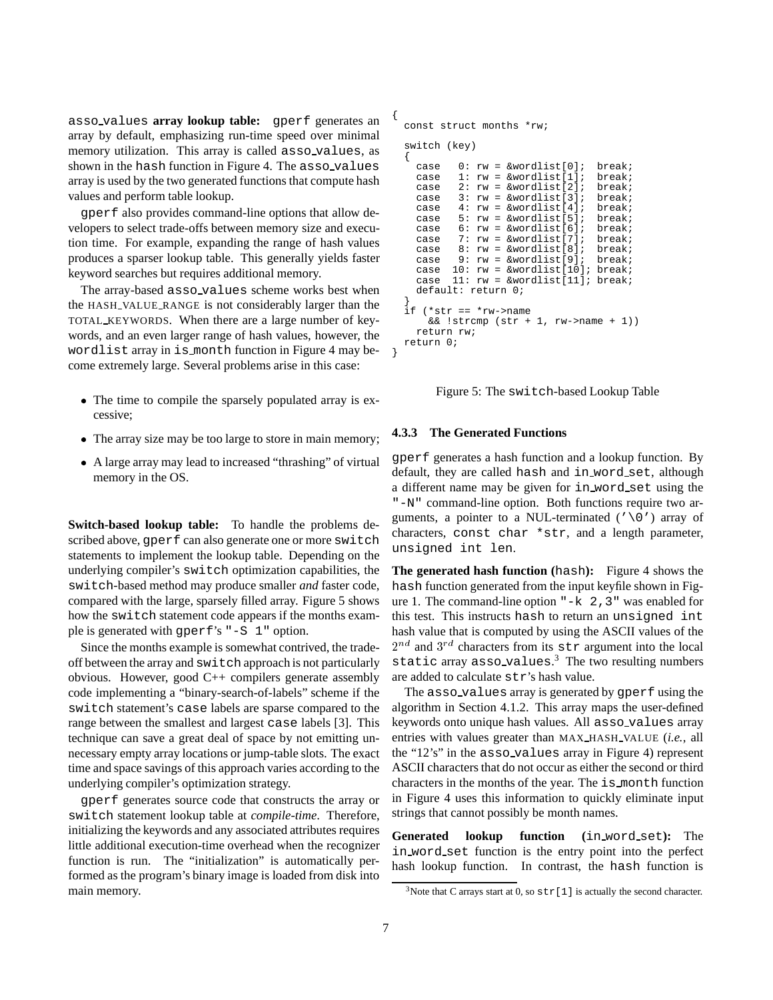asso values **array lookup table:** gperf generates an array by default, emphasizing run-time speed over minimal memory utilization. This array is called asso values, as shown in the hash function in Figure 4. The asso values array is used by the two generated functions that compute hash values and perform table lookup.

gperf also provides command-line options that allow developers to select trade-offs between memory size and execution time. For example, expanding the range of hash values produces a sparser lookup table. This generally yields faster keyword searches but requires additional memory.

The array-based asso values scheme works best when the HASH VALUE RANGE is not considerably larger than the TOTAL KEYWORDS. When there are a large number of keywords, and an even larger range of hash values, however, the wordlist array in is month function in Figure 4 may become extremely large. Several problems arise in this case:

- The time to compile the sparsely populated array is excessive;
- The array size may be too large to store in main memory;
- A large array may lead to increased "thrashing" of virtual memory in the OS.

**Switch-based lookup table:** To handle the problems described above, gperf can also generate one or more switch statements to implement the lookup table. Depending on the underlying compiler's switch optimization capabilities, the switch-based method may produce smaller *and* faster code, compared with the large, sparsely filled array. Figure 5 shows how the switch statement code appears if the months example is generated with gperf's "-S 1" option.

Since the months example is somewhat contrived, the tradeoff between the array and switch approach is not particularly obvious. However, good C++ compilers generate assembly code implementing a "binary-search-of-labels" scheme if the switch statement's case labels are sparse compared to the range between the smallest and largest case labels [3]. This technique can save a great deal of space by not emitting unnecessary empty array locations or jump-table slots. The exact time and space savings of this approach varies according to the underlying compiler's optimization strategy.

gperf generates source code that constructs the array or switch statement lookup table at *compile-time*. Therefore, initializing the keywords and any associated attributes requires little additional execution-time overhead when the recognizer function is run. The "initialization" is automatically performed as the program's binary image is loaded from disk into main memory.

const struct months \*rw;

{

```
switch (key)
  {
     case 0: rw = \& worldlist[0]; break; case 1: rw = \& worldlist[1]; break;case 1: rw = &wordlist[1]; break;<br>case 2: rw = &wordlist[2]; break;
              2: rw = &wordlist[2];
    case 3: rw = &wordlist[3]; break;
     case 4: rw = &wordlist[4]; break;
     case 5: rw = &wordlist[5]; break;
     case 6: rw = &wordlist[6]; break;
     case 7: rw = &wordlist[7]; break;<br>case 8: rw = &wordlist[8]; break;
              8: rw = \&wordlist[8]; break;<br>9: rw = \&wordlist[9]; break;
     case 9: rw = &wordlist[9];<br>case 10: rw = &wordlist[10]10: rw = &wordlist[10]; break;
     case 11: rw = &wordlist[11]; break;
    default: return 0;
  }
  if (*str == *rw->name
       && !strcmp (str + 1, rw->name + 1))
     return rw;
  return 0;
}
```


#### **4.3.3 The Generated Functions**

gperf generates a hash function and a lookup function. By default, they are called hash and in word set, although a different name may be given for in word set using the "-N" command-line option. Both functions require two arguments, a pointer to a NUL-terminated ( $' \setminus 0'$ ) array of characters, const char \*str, and a length parameter, unsigned int len.

**The generated hash function (**hash**):** Figure 4 shows the hash function generated from the input keyfile shown in Figure 1. The command-line option  $" -k 2, 3"$  was enabled for this test. This instructs hash to return an unsigned int hash value that is computed by using the ASCII values of the  $2^{nd}$  and  $3^{rd}$  characters from its str argument into the local static array asso\_values. $3$  The two resulting numbers are added to calculate str's hash value.

The asso values array is generated by gperf using the algorithm in Section 4.1.2. This array maps the user-defined keywords onto unique hash values. All asso values array entries with values greater than MAX HASH VALUE (*i.e.*, all the "12's" in the asso values array in Figure 4) represent ASCII characters that do not occur as either the second or third characters in the months of the year. The is month function in Figure 4 uses this information to quickly eliminate input strings that cannot possibly be month names.

**Generated lookup function (**in word set**):** The in word set function is the entry point into the perfect hash lookup function. In contrast, the hash function is

<sup>&</sup>lt;sup>3</sup>Note that C arrays start at 0, so  $str[1]$  is actually the second character.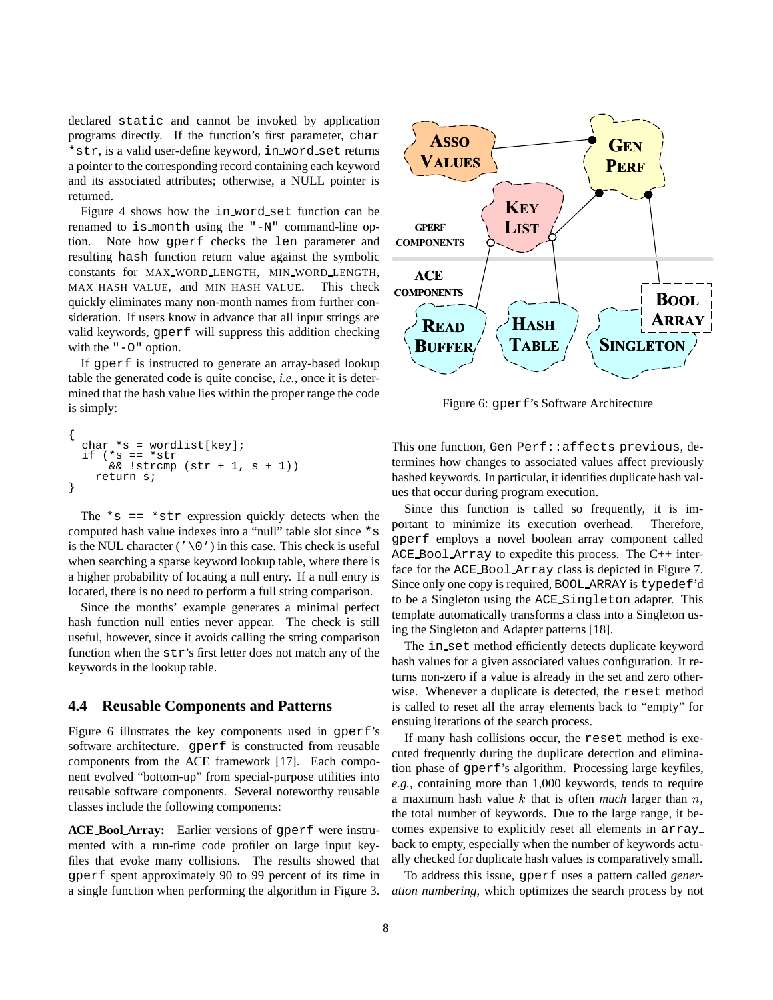declared static and cannot be invoked by application programs directly. If the function's first parameter, char \*str, is a valid user-define keyword, in word set returns a pointer to the corresponding record containing each keyword and its associated attributes; otherwise, a NULL pointer is returned.

Figure 4 shows how the in word set function can be renamed to is month using the "-N" command-line option. Note how gperf checks the len parameter and resulting hash function return value against the symbolic constants for MAX WORD LENGTH, MIN WORD LENGTH, MAX HASH VALUE, and MIN HASH VALUE. This check quickly eliminates many non-month names from further consideration. If users know in advance that all input strings are valid keywords, gperf will suppress this addition checking with the "-O" option.

If gperf is instructed to generate an array-based lookup table the generated code is quite concise, *i.e.*, once it is determined that the hash value lies within the proper range the code is simply:

```
{
  char *s = wordlist[key];
   if (*s == *str<br>&amp;c .stremp(\text{str } + 1, \text{ s } + 1))return s;
}
```
The  $*_{s} == *_{str}$  expression quickly detects when the computed hash value indexes into a "null" table slot since \*s is the NUL character ( $'\ (0')$  in this case. This check is useful when searching a sparse keyword lookup table, where there is a higher probability of locating a null entry. If a null entry is located, there is no need to perform a full string comparison.

Since the months' example generates a minimal perfect hash function null enties never appear. The check is still useful, however, since it avoids calling the string comparison function when the str's first letter does not match any of the keywords in the lookup table.

#### **4.4 Reusable Components and Patterns**

Figure 6 illustrates the key components used in gperf's software architecture. gperf is constructed from reusable components from the ACE framework [17]. Each component evolved "bottom-up" from special-purpose utilities into reusable software components. Several noteworthy reusable classes include the following components:

**ACE Bool Array:** Earlier versions of gperf were instrumented with a run-time code profiler on large input keyfiles that evoke many collisions. The results showed that gperf spent approximately 90 to 99 percent of its time in a single function when performing the algorithm in Figure 3.



Figure 6: gperf's Software Architecture

This one function, Gen Perf:: affects previous, determines how changes to associated values affect previously hashed keywords. In particular, it identifies duplicate hash values that occur during program execution.

Since this function is called so frequently, it is important to minimize its execution overhead. Therefore, gperf employs a novel boolean array component called ACE Bool Array to expedite this process. The C++ interface for the ACE Bool Array class is depicted in Figure 7. Since only one copy is required, BOOL ARRAY is typedef'd to be a Singleton using the ACE Singleton adapter. This template automatically transforms a class into a Singleton using the Singleton and Adapter patterns [18].

The in set method efficiently detects duplicate keyword hash values for a given associated values configuration. It returns non-zero if a value is already in the set and zero otherwise. Whenever a duplicate is detected, the reset method is called to reset all the array elements back to "empty" for ensuing iterations of the search process.

If many hash collisions occur, the reset method is executed frequently during the duplicate detection and elimination phase of gperf's algorithm. Processing large keyfiles, *e.g.*, containing more than 1,000 keywords, tends to require a maximum hash value k that is often *much* larger than n, the total number of keywords. Due to the large range, it becomes expensive to explicitly reset all elements in array back to empty, especially when the number of keywords actually checked for duplicate hash values is comparatively small.

To address this issue, gperf uses a pattern called *generation numbering*, which optimizes the search process by not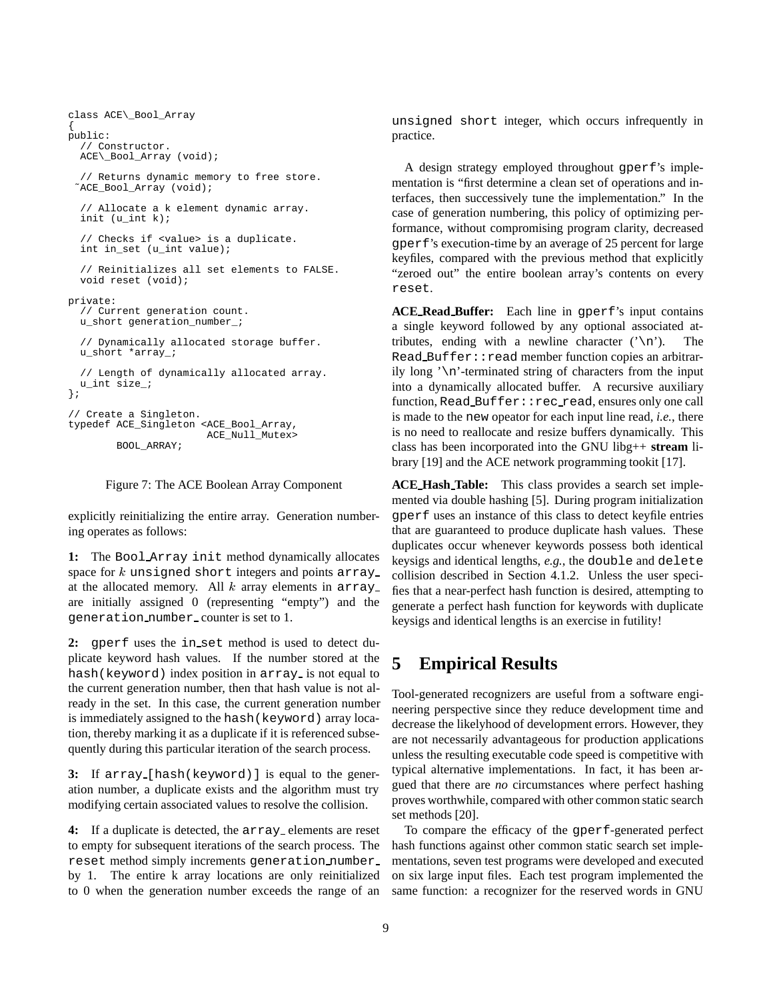```
class ACE\_Bool_Array
{
public:
  // Constructor.
 ACE\_Bool_Array (void);
  // Returns dynamic memory to free store.
 ˜ACE_Bool_Array (void);
  // Allocate a k element dynamic array.
  init (u_int k);
  // Checks if <value> is a duplicate.
  int in_set (u_int value);
  // Reinitializes all set elements to FALSE.
  void reset (void);
private:
  // Current generation count.
  u_short generation_number_;
  // Dynamically allocated storage buffer.
  u_short *array_;
  // Length of dynamically allocated array.
  u int size ;
};
// Create a Singleton.
typedef ACE_Singleton <ACE_Bool_Array,
                       ACE_Null_Mutex>
        BOOL_ARRAY;
```


explicitly reinitializing the entire array. Generation numbering operates as follows:

**1:** The Bool Array init method dynamically allocates space for  $k$  unsigned short integers and points array at the allocated memory. All  $k$  array elements in array are initially assigned 0 (representing "empty") and the generation number counter is set to 1.

**2:** gperf uses the in set method is used to detect duplicate keyword hash values. If the number stored at the hash(keyword) index position in array is not equal to the current generation number, then that hash value is not already in the set. In this case, the current generation number is immediately assigned to the hash(keyword) array location, thereby marking it as a duplicate if it is referenced subsequently during this particular iteration of the search process.

**3:** If array [hash(keyword)] is equal to the generation number, a duplicate exists and the algorithm must try modifying certain associated values to resolve the collision.

**4:** If a duplicate is detected, the array elements are reset to empty for subsequent iterations of the search process. The reset method simply increments generation number by 1. The entire k array locations are only reinitialized to 0 when the generation number exceeds the range of an unsigned short integer, which occurs infrequently in practice.

A design strategy employed throughout gperf's implementation is "first determine a clean set of operations and interfaces, then successively tune the implementation." In the case of generation numbering, this policy of optimizing performance, without compromising program clarity, decreased gperf's execution-time by an average of 25 percent for large keyfiles, compared with the previous method that explicitly "zeroed out" the entire boolean array's contents on every reset.

**ACE Read Buffer:** Each line in gperf's input contains a single keyword followed by any optional associated attributes, ending with a newline character  $('\n\n\cdot)$ . The Read Buffer: : read member function copies an arbitrarily long  $\n\infty$  -terminated string of characters from the input into a dynamically allocated buffer. A recursive auxiliary function, Read Buffer: : rec\_read, ensures only one call is made to the new opeator for each input line read, *i.e.*, there is no need to reallocate and resize buffers dynamically. This class has been incorporated into the GNU libg++ **stream** library [19] and the ACE network programming tookit [17].

**ACE Hash Table:** This class provides a search set implemented via double hashing [5]. During program initialization gperf uses an instance of this class to detect keyfile entries that are guaranteed to produce duplicate hash values. These duplicates occur whenever keywords possess both identical keysigs and identical lengths, *e.g.*, the double and delete collision described in Section 4.1.2. Unless the user specifies that a near-perfect hash function is desired, attempting to generate a perfect hash function for keywords with duplicate keysigs and identical lengths is an exercise in futility!

## **5 Empirical Results**

Tool-generated recognizers are useful from a software engineering perspective since they reduce development time and decrease the likelyhood of development errors. However, they are not necessarily advantageous for production applications unless the resulting executable code speed is competitive with typical alternative implementations. In fact, it has been argued that there are *no* circumstances where perfect hashing proves worthwhile, compared with other common static search set methods [20].

To compare the efficacy of the gperf-generated perfect hash functions against other common static search set implementations, seven test programs were developed and executed on six large input files. Each test program implemented the same function: a recognizer for the reserved words in GNU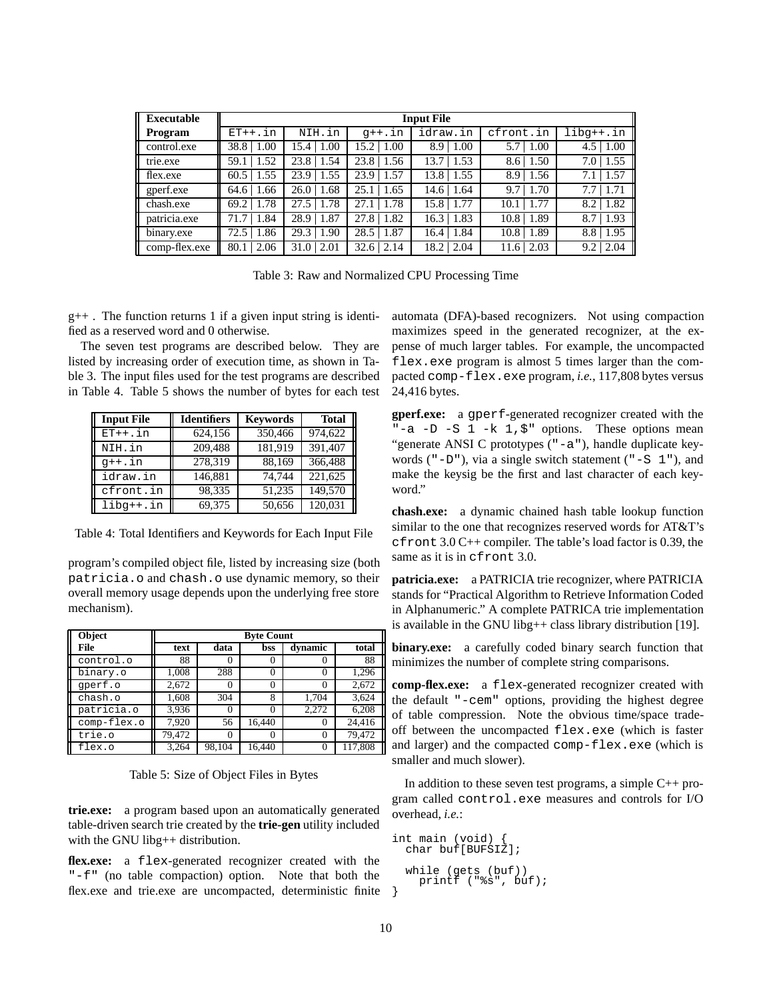| <b>Executable</b> | <b>Input File</b> |        |          |          |           |             |
|-------------------|-------------------|--------|----------|----------|-----------|-------------|
| Program           | $ET++.in$         | NIH.in | $q++.in$ | idraw.in | cfront.in | $libq++.in$ |
| control.exe       | 38.8              | 1.00   | 15.2     | 1.00     | 5.7       | 1.00        |
|                   | 1.00              | 15.4   | 1.00     | 8.9      | 1.00      | 4.5         |
| trie.exe          | 1.52              | 23.8   | 23.8     | 1.53     | 1.50      | 1.55        |
|                   | 59.1              | 1.54   | 1.56     | 13.7     | 8.6       | 7.0         |
| flex.exe          | 1.55              | 23.9   | 1.57     | 1.55     | 1.56      | 1.57        |
|                   | 60.5              | 1.55   | 23.9     | 13.8     | 8.9       | 7.1         |
| gperf.exe         | 1.66              | 1.68   | 1.65     | 1.64     | 1.70      | 1.71        |
|                   | 64.6              | 26.0   | 25.1     | 14.6     | 9.7       | 7.7         |
| chash.exe         | 1.78              | 27.5   | 1.78     | 1.77     | 1.77      | 1.82        |
|                   | 69.2              | 1.78   | 27.1     | 15.8     | 10.1      | 8.2         |
| patricia.exe      | 1.84              | 28.9   | 1.82     | 1.83     | 1.89      | 1.93        |
|                   | 71.7              | 1.87   | 27.8     | 16.3     | 10.8      | 8.7         |
| binary.exe        | 1.86              | 29.3   | 1.87     | 1.84     | 1.89      | 1.95        |
|                   | 72.5              | 1.90   | 28.5     | 16.4     | 10.8      | 8.8         |
| comp-flex.exe     | 2.06              | 31.0   | 2.14     | 18.2     | 2.03      | 2.04        |
|                   | 80.1              | 2.01   | 32.6     | 2.04     | 11.6      | 9.2         |

Table 3: Raw and Normalized CPU Processing Time

 $g_{++}$ . The function returns 1 if a given input string is identified as a reserved word and 0 otherwise.

The seven test programs are described below. They are listed by increasing order of execution time, as shown in Table 3. The input files used for the test programs are described in Table 4. Table 5 shows the number of bytes for each test

| <b>Input File</b> | <b>Identifiers</b> | <b>Keywords</b> | <b>Total</b> |
|-------------------|--------------------|-----------------|--------------|
| $ET++.in$         | 624,156            | 350,466         | 974,622      |
| NIH.in            | 209,488            | 181,919         | 391,407      |
| $q++.$ in         | 278,319            | 88,169          | 366,488      |
| idraw.in          | 146,881            | 74.744          | 221,625      |
| cfront.in         | 98,335             | 51,235          | 149,570      |
| $libq++.in$       | 69,375             | 50,656          | 120,031      |

Table 4: Total Identifiers and Keywords for Each Input File

program's compiled object file, listed by increasing size (both patricia.o and chash.o use dynamic memory, so their overall memory usage depends upon the underlying free store mechanism).

| Object      | <b>Byte Count</b> |        |                   |          |         |
|-------------|-------------------|--------|-------------------|----------|---------|
| File        | text              | data   | bss               | dynamic  | total   |
| control.o   | 88                |        |                   |          | 88      |
| binary.o    | 1,008             | 288    |                   |          | 1,296   |
| gperf.o     | 2,672             |        | $\mathbf{\Omega}$ |          | 2,672   |
| chash.o     | 1,608             | 304    | 8                 | 1,704    | 3,624   |
| patricia.o  | 3.936             |        |                   | 2,272    | 6,208   |
| comp-flex.o | 7,920             | 56     | 16,440            | $\theta$ | 24.416  |
| trie.o      | 79,472            |        |                   | 0        | 79,472  |
| flex.o      | 3,264             | 98,104 | 16.440            |          | 117,808 |

Table 5: Size of Object Files in Bytes

**trie.exe:** a program based upon an automatically generated table-driven search trie created by the **trie-gen** utility included with the GNU libg++ distribution.

**flex.exe:** a flex-generated recognizer created with the "-f" (no table compaction) option. Note that both the flex.exe and trie.exe are uncompacted, deterministic finite automata (DFA)-based recognizers. Not using compaction maximizes speed in the generated recognizer, at the expense of much larger tables. For example, the uncompacted flex.exe program is almost 5 times larger than the compacted comp-flex.exe program, *i.e.*, 117,808 bytes versus 24,416 bytes.

**gperf.exe:** a gperf-generated recognizer created with the "-a -D -S 1 -k 1, $\frac{1}{2}$ " options. These options mean "generate ANSI C prototypes ("-a"), handle duplicate keywords ( $"$ - $D"$ ), via a single switch statement ( $"$ - $S$  1"), and make the keysig be the first and last character of each keyword."

**chash.exe:** a dynamic chained hash table lookup function similar to the one that recognizes reserved words for AT&T's cfront 3.0 C++ compiler. The table's load factor is 0.39, the same as it is in cfront 3.0.

**patricia.exe:** a PATRICIA trie recognizer, where PATRICIA stands for "Practical Algorithm to Retrieve Information Coded in Alphanumeric." A complete PATRICA trie implementation is available in the GNU libg++ class library distribution [19].

**binary.exe:** a carefully coded binary search function that minimizes the number of complete string comparisons.

**comp-flex.exe:** a flex-generated recognizer created with the default "-cem" options, providing the highest degree of table compression. Note the obvious time/space tradeoff between the uncompacted flex.exe (which is faster and larger) and the compacted comp-flex.exe (which is smaller and much slower).

In addition to these seven test programs, a simple  $C_{++}$  program called control.exe measures and controls for I/O overhead, *i.e.*:

```
int main (void)
  char buf[BUFSIZ];
  while (gets (buf))
    printf ("%s", buf);
}
```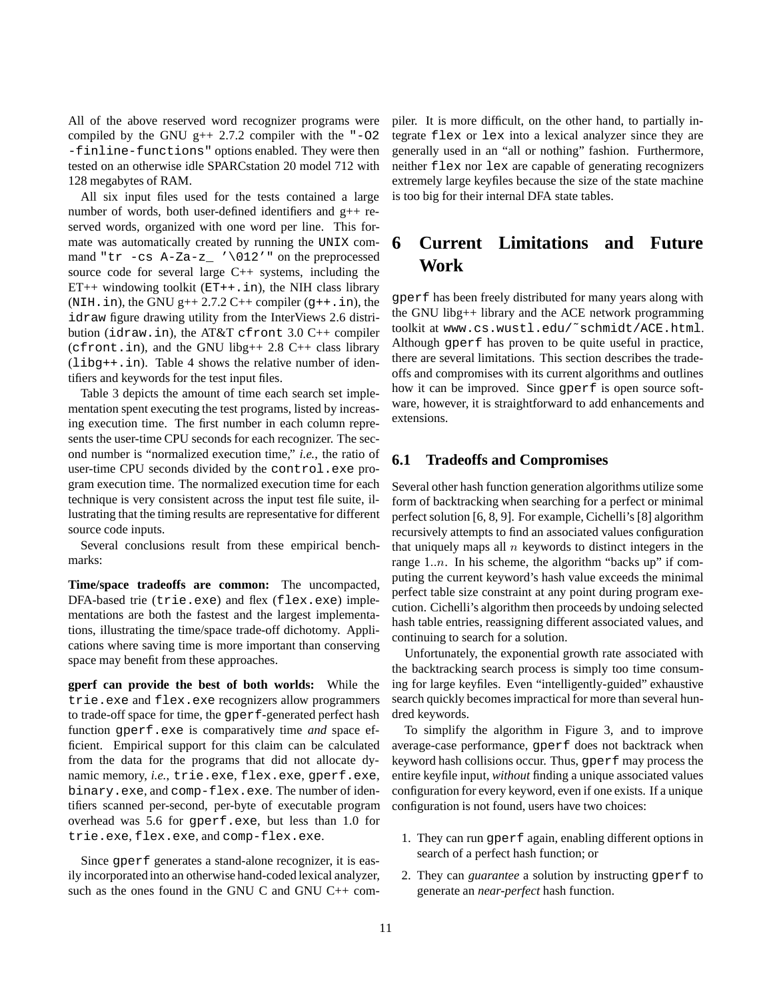All of the above reserved word recognizer programs were compiled by the GNU  $g++ 2.7.2$  compiler with the "-02 -finline-functions" options enabled. They were then tested on an otherwise idle SPARCstation 20 model 712 with 128 megabytes of RAM.

All six input files used for the tests contained a large number of words, both user-defined identifiers and g++ reserved words, organized with one word per line. This formate was automatically created by running the UNIX command "tr -cs A-Za-z\_ '\012'" on the preprocessed source code for several large C++ systems, including the ET++ windowing toolkit  $(ET++.in)$ , the NIH class library  $(NIH.in)$ , the GNU g++ 2.7.2 C++ compiler  $(q++.in)$ , the idraw figure drawing utility from the InterViews 2.6 distribution (idraw.in), the AT&T cfront  $3.0$  C++ compiler (cfront.in), and the GNU libg++ 2.8 C++ class library  $(libq++.in)$ . Table 4 shows the relative number of identifiers and keywords for the test input files.

Table 3 depicts the amount of time each search set implementation spent executing the test programs, listed by increasing execution time. The first number in each column represents the user-time CPU seconds for each recognizer. The second number is "normalized execution time," *i.e.*, the ratio of user-time CPU seconds divided by the control.exe program execution time. The normalized execution time for each technique is very consistent across the input test file suite, illustrating that the timing results are representative for different source code inputs.

Several conclusions result from these empirical benchmarks:

**Time/space tradeoffs are common:** The uncompacted, DFA-based trie (trie.exe) and flex (flex.exe) implementations are both the fastest and the largest implementations, illustrating the time/space trade-off dichotomy. Applications where saving time is more important than conserving space may benefit from these approaches.

**gperf can provide the best of both worlds:** While the trie.exe and flex.exe recognizers allow programmers to trade-off space for time, the gperf-generated perfect hash function gperf.exe is comparatively time *and* space efficient. Empirical support for this claim can be calculated from the data for the programs that did not allocate dynamic memory, *i.e.*, trie.exe, flex.exe, gperf.exe, binary.exe, and comp-flex.exe. The number of identifiers scanned per-second, per-byte of executable program overhead was 5.6 for gperf.exe, but less than 1.0 for trie.exe, flex.exe, and comp-flex.exe.

Since gperf generates a stand-alone recognizer, it is easily incorporated into an otherwise hand-coded lexical analyzer, such as the ones found in the GNU C and GNU C++ compiler. It is more difficult, on the other hand, to partially integrate flex or lex into a lexical analyzer since they are generally used in an "all or nothing" fashion. Furthermore, neither flex nor lex are capable of generating recognizers extremely large keyfiles because the size of the state machine is too big for their internal DFA state tables.

# **6 Current Limitations and Future Work**

gperf has been freely distributed for many years along with the GNU libg++ library and the ACE network programming toolkit at www.cs.wustl.edu/˜schmidt/ACE.html. Although gperf has proven to be quite useful in practice, there are several limitations. This section describes the tradeoffs and compromises with its current algorithms and outlines how it can be improved. Since gperf is open source software, however, it is straightforward to add enhancements and extensions.

#### **6.1 Tradeoffs and Compromises**

Several other hash function generation algorithms utilize some form of backtracking when searching for a perfect or minimal perfect solution [6, 8, 9]. For example, Cichelli's [8] algorithm recursively attempts to find an associated values configuration that uniquely maps all  $n$  keywords to distinct integers in the range  $1:n$ . In his scheme, the algorithm "backs up" if computing the current keyword's hash value exceeds the minimal perfect table size constraint at any point during program execution. Cichelli's algorithm then proceeds by undoing selected hash table entries, reassigning different associated values, and continuing to search for a solution.

Unfortunately, the exponential growth rate associated with the backtracking search process is simply too time consuming for large keyfiles. Even "intelligently-guided" exhaustive search quickly becomes impractical for more than several hundred keywords.

To simplify the algorithm in Figure 3, and to improve average-case performance, gperf does not backtrack when keyword hash collisions occur. Thus, gperf may process the entire keyfile input, *without* finding a unique associated values configuration for every keyword, even if one exists. If a unique configuration is not found, users have two choices:

- 1. They can run gperf again, enabling different options in search of a perfect hash function; or
- 2. They can *guarantee* a solution by instructing gperf to generate an *near-perfect* hash function.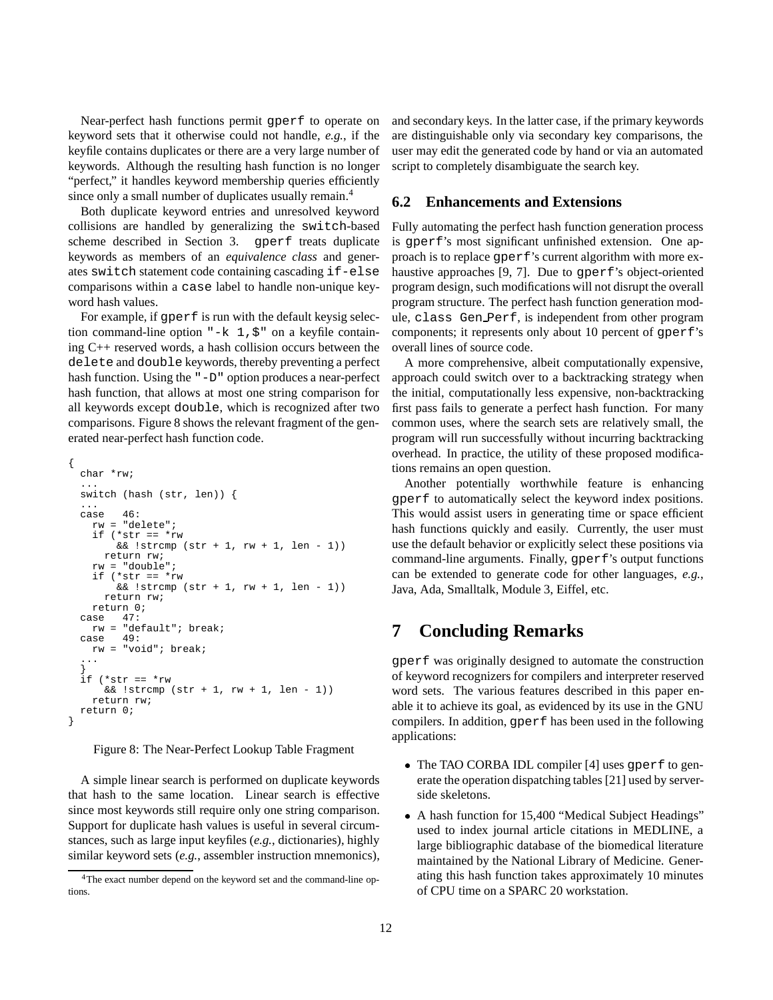Near-perfect hash functions permit gperf to operate on keyword sets that it otherwise could not handle, *e.g.*, if the keyfile contains duplicates or there are a very large number of keywords. Although the resulting hash function is no longer "perfect," it handles keyword membership queries efficiently since only a small number of duplicates usually remain.<sup>4</sup>

Both duplicate keyword entries and unresolved keyword collisions are handled by generalizing the switch-based scheme described in Section 3. gperf treats duplicate keywords as members of an *equivalence class* and generates switch statement code containing cascading if-else comparisons within a case label to handle non-unique keyword hash values.

For example, if gperf is run with the default keysig selection command-line option " $-k$  1,  $\zeta$ " on a keyfile containing C++ reserved words, a hash collision occurs between the delete and double keywords, thereby preventing a perfect hash function. Using the "-D" option produces a near-perfect hash function, that allows at most one string comparison for all keywords except double, which is recognized after two comparisons. Figure 8 shows the relevant fragment of the generated near-perfect hash function code.

```
{
 char *rw;
  ...
  switch (hash (str, len)) {
  ...
 case 46:
   rw = "delete";
    if (*str == *rw
        && !strcmp (str + 1, rw + 1, len - 1))
      return rw;
    rw = "double";
    if (*str == *rw
        & 2 !strcmp (str + 1, rw + 1, len - 1))
      return rw;
   return 0;
 case 47:
   rw = "default"; break;<br>use 49:
 case
   rw = "void"; break;
  ...
  }
  if (*str == *rw
     & 2 !strcmp (str + 1, rw + 1, len - 1))
    return rw;
 return 0;
}
```
Figure 8: The Near-Perfect Lookup Table Fragment

A simple linear search is performed on duplicate keywords that hash to the same location. Linear search is effective since most keywords still require only one string comparison. Support for duplicate hash values is useful in several circumstances, such as large input keyfiles (*e.g.*, dictionaries), highly similar keyword sets (*e.g.*, assembler instruction mnemonics),

and secondary keys. In the latter case, if the primary keywords are distinguishable only via secondary key comparisons, the user may edit the generated code by hand or via an automated script to completely disambiguate the search key.

### **6.2 Enhancements and Extensions**

Fully automating the perfect hash function generation process is gperf's most significant unfinished extension. One approach is to replace gperf's current algorithm with more exhaustive approaches [9, 7]. Due to gperf's object-oriented program design, such modifications will not disrupt the overall program structure. The perfect hash function generation module, class Gen Perf, is independent from other program components; it represents only about 10 percent of gperf's overall lines of source code.

A more comprehensive, albeit computationally expensive, approach could switch over to a backtracking strategy when the initial, computationally less expensive, non-backtracking first pass fails to generate a perfect hash function. For many common uses, where the search sets are relatively small, the program will run successfully without incurring backtracking overhead. In practice, the utility of these proposed modifications remains an open question.

Another potentially worthwhile feature is enhancing gperf to automatically select the keyword index positions. This would assist users in generating time or space efficient hash functions quickly and easily. Currently, the user must use the default behavior or explicitly select these positions via command-line arguments. Finally, gperf's output functions can be extended to generate code for other languages, *e.g.*, Java, Ada, Smalltalk, Module 3, Eiffel, etc.

## **7 Concluding Remarks**

gperf was originally designed to automate the construction of keyword recognizers for compilers and interpreter reserved word sets. The various features described in this paper enable it to achieve its goal, as evidenced by its use in the GNU compilers. In addition, gperf has been used in the following applications:

- The TAO CORBA IDL compiler [4] uses gperf to generate the operation dispatching tables [21] used by serverside skeletons.
- A hash function for 15,400 "Medical Subject Headings" used to index journal article citations in MEDLINE, a large bibliographic database of the biomedical literature maintained by the National Library of Medicine. Generating this hash function takes approximately 10 minutes of CPU time on a SPARC 20 workstation.

<sup>4</sup>The exact number depend on the keyword set and the command-line options.